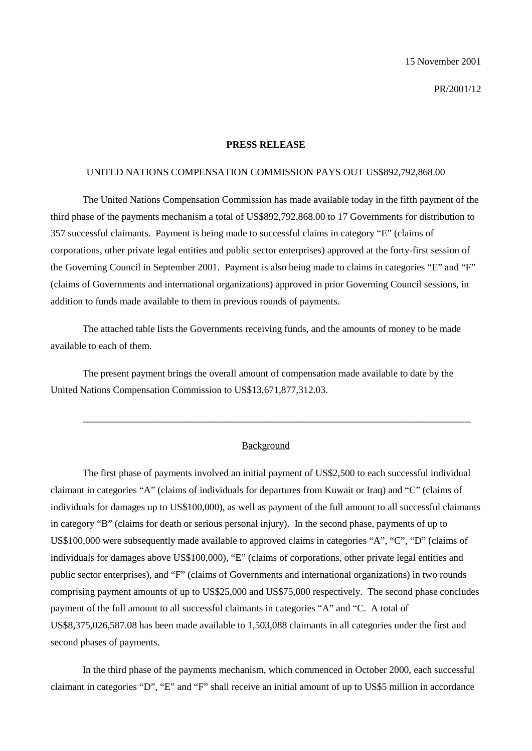15 November 2001

PR/2001/12

#### **PRESS RELEASE**

### UNITED NATIONS COMPENSATION COMMISSION PAYS OUT US\$892,792,868.00

The United Nations Compensation Commission has made available today in the fifth payment of the third phase of the payments mechanism a total of US\$892,792,868.00 to 17 Governments for distribution to 357 successful claimants. Payment is being made to successful claims in category "E" (claims of corporations, other private legal entities and public sector enterprises) approved at the forty-first session of the Governing Council in September 2001. Payment is also being made to claims in categories "E" and "F" (claims of Governments and international organizations) approved in prior Governing Council sessions, in addition to funds made available to them in previous rounds of payments.

The attached table lists the Governments receiving funds, and the amounts of money to be made available to each of them.

The present payment brings the overall amount of compensation made available to date by the United Nations Compensation Commission to US\$13,671,877,312.03.

### Background

\_\_\_\_\_\_\_\_\_\_\_\_\_\_\_\_\_\_\_\_\_\_\_\_\_\_\_\_\_\_\_\_\_\_\_\_\_\_\_\_\_\_\_\_\_\_\_\_\_\_\_\_\_\_\_\_\_\_\_\_\_\_\_\_\_\_\_\_\_\_\_\_\_\_\_\_\_\_\_

The first phase of payments involved an initial payment of US\$2,500 to each successful individual claimant in categories "A" (claims of individuals for departures from Kuwait or Iraq) and "C" (claims of individuals for damages up to US\$100,000), as well as payment of the full amount to all successful claimants in category "B" (claims for death or serious personal injury). In the second phase, payments of up to US\$100,000 were subsequently made available to approved claims in categories "A", "C", "D" (claims of individuals for damages above US\$100,000), "E" (claims of corporations, other private legal entities and public sector enterprises), and "F" (claims of Governments and international organizations) in two rounds comprising payment amounts of up to US\$25,000 and US\$75,000 respectively. The second phase concludes payment of the full amount to all successful claimants in categories "A" and "C. A total of US\$8,375,026,587.08 has been made available to 1,503,088 claimants in all categories under the first and second phases of payments.

In the third phase of the payments mechanism, which commenced in October 2000, each successful claimant in categories "D", "E" and "F" shall receive an initial amount of up to US\$5 million in accordance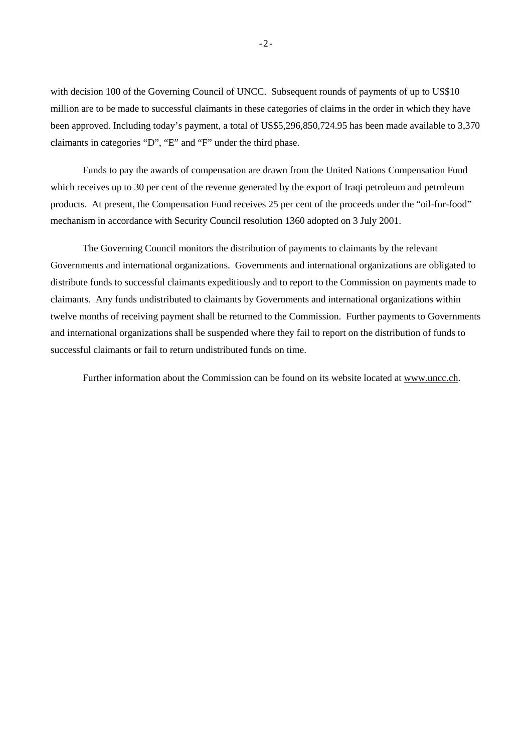with decision 100 of the Governing Council of UNCC. Subsequent rounds of payments of up to US\$10 million are to be made to successful claimants in these categories of claims in the order in which they have been approved. Including today's payment, a total of US\$5,296,850,724.95 has been made available to 3,370 claimants in categories "D", "E" and "F" under the third phase.

Funds to pay the awards of compensation are drawn from the United Nations Compensation Fund which receives up to 30 per cent of the revenue generated by the export of Iraqi petroleum and petroleum products. At present, the Compensation Fund receives 25 per cent of the proceeds under the "oil-for-food" mechanism in accordance with Security Council resolution 1360 adopted on 3 July 2001.

The Governing Council monitors the distribution of payments to claimants by the relevant Governments and international organizations. Governments and international organizations are obligated to distribute funds to successful claimants expeditiously and to report to the Commission on payments made to claimants. Any funds undistributed to claimants by Governments and international organizations within twelve months of receiving payment shall be returned to the Commission. Further payments to Governments and international organizations shall be suspended where they fail to report on the distribution of funds to successful claimants or fail to return undistributed funds on time.

Further information about the Commission can be found on its website located at www.uncc.ch.